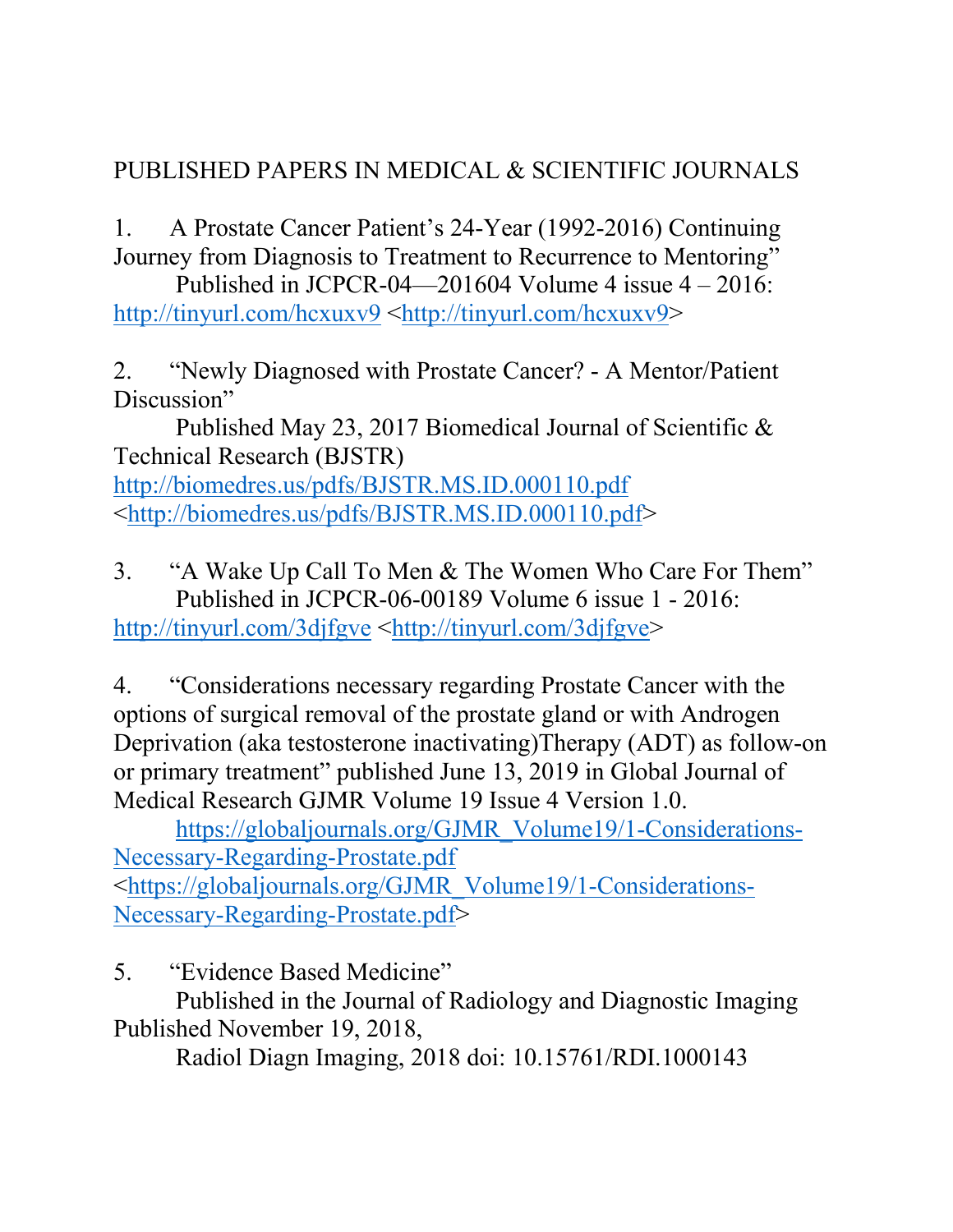## PUBLISHED PAPERS IN MEDICAL & SCIENTIFIC JOURNALS

1. A Prostate Cancer Patient's 24-Year (1992-2016) Continuing Journey from Diagnosis to Treatment to Recurrence to Mentoring"

Published in JCPCR-04—201604 Volume 4 issue  $4 - 2016$ : http://tinyurl.com/hcxuxv9 <http://tinyurl.com/hcxuxv9>

2. "Newly Diagnosed with Prostate Cancer? - A Mentor/Patient Discussion"

 Published May 23, 2017 Biomedical Journal of Scientific & Technical Research (BJSTR)

http://biomedres.us/pdfs/BJSTR.MS.ID.000110.pdf <http://biomedres.us/pdfs/BJSTR.MS.ID.000110.pdf>

3. "A Wake Up Call To Men & The Women Who Care For Them" Published in JCPCR-06-00189 Volume 6 issue 1 - 2016: http://tinyurl.com/3djfgve <http://tinyurl.com/3djfgve>

4. "Considerations necessary regarding Prostate Cancer with the options of surgical removal of the prostate gland or with Androgen Deprivation (aka testosterone inactivating)Therapy (ADT) as follow-on or primary treatment" published June 13, 2019 in Global Journal of Medical Research GJMR Volume 19 Issue 4 Version 1.0.

 https://globaljournals.org/GJMR\_Volume19/1-Considerations-Necessary-Regarding-Prostate.pdf <https://globaljournals.org/GJMR\_Volume19/1-Considerations-Necessary-Regarding-Prostate.pdf>

5. "Evidence Based Medicine"

 Published in the Journal of Radiology and Diagnostic Imaging Published November 19, 2018,

Radiol Diagn Imaging, 2018 doi: 10.15761/RDI.1000143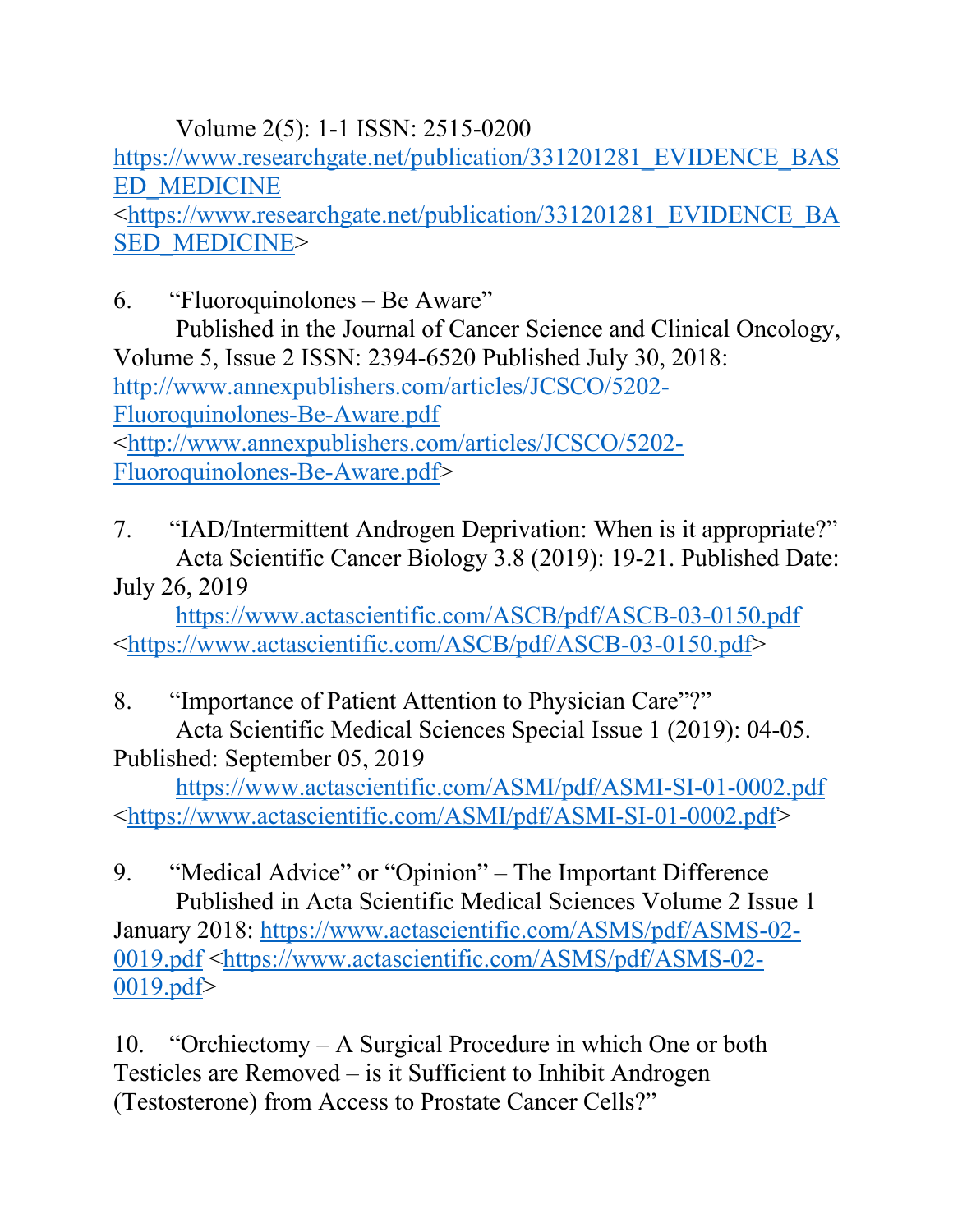Volume 2(5): 1-1 ISSN: 2515-0200 https://www.researchgate.net/publication/331201281\_EVIDENCE\_BAS ED\_MEDICINE <https://www.researchgate.net/publication/331201281\_EVIDENCE\_BA SED\_MEDICINE>

6. "Fluoroquinolones – Be Aware" Published in the Journal of Cancer Science and Clinical Oncology, Volume 5, Issue 2 ISSN: 2394-6520 Published July 30, 2018: http://www.annexpublishers.com/articles/JCSCO/5202- Fluoroquinolones-Be-Aware.pdf <http://www.annexpublishers.com/articles/JCSCO/5202- Fluoroquinolones-Be-Aware.pdf>

7. "IAD/Intermittent Androgen Deprivation: When is it appropriate?" Acta Scientific Cancer Biology 3.8 (2019): 19-21. Published Date: July 26, 2019

 https://www.actascientific.com/ASCB/pdf/ASCB-03-0150.pdf <https://www.actascientific.com/ASCB/pdf/ASCB-03-0150.pdf>

8. "Importance of Patient Attention to Physician Care"?" Acta Scientific Medical Sciences Special Issue 1 (2019): 04-05. Published: September 05, 2019

 https://www.actascientific.com/ASMI/pdf/ASMI-SI-01-0002.pdf <https://www.actascientific.com/ASMI/pdf/ASMI-SI-01-0002.pdf>

9. "Medical Advice" or "Opinion" – The Important Difference Published in Acta Scientific Medical Sciences Volume 2 Issue 1 January 2018: https://www.actascientific.com/ASMS/pdf/ASMS-02- 0019.pdf <https://www.actascientific.com/ASMS/pdf/ASMS-02- 0019.pdf>

10. "Orchiectomy – A Surgical Procedure in which One or both Testicles are Removed – is it Sufficient to Inhibit Androgen (Testosterone) from Access to Prostate Cancer Cells?"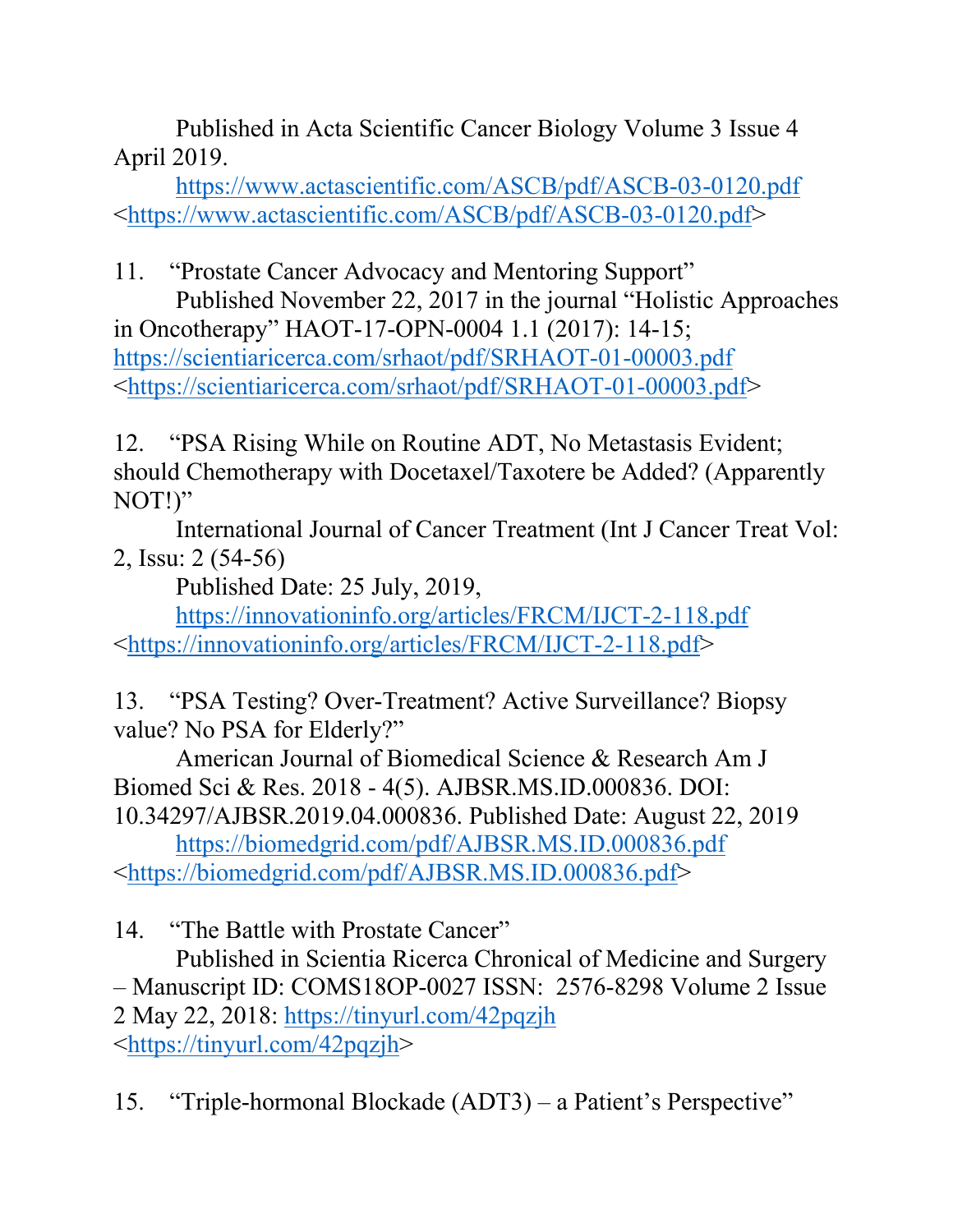Published in Acta Scientific Cancer Biology Volume 3 Issue 4 April 2019.

 https://www.actascientific.com/ASCB/pdf/ASCB-03-0120.pdf <https://www.actascientific.com/ASCB/pdf/ASCB-03-0120.pdf>

11. "Prostate Cancer Advocacy and Mentoring Support" Published November 22, 2017 in the journal "Holistic Approaches in Oncotherapy" HAOT-17-OPN-0004 1.1 (2017): 14-15; https://scientiaricerca.com/srhaot/pdf/SRHAOT-01-00003.pdf <https://scientiaricerca.com/srhaot/pdf/SRHAOT-01-00003.pdf>

12. "PSA Rising While on Routine ADT, No Metastasis Evident; should Chemotherapy with Docetaxel/Taxotere be Added? (Apparently NOT!)"

 International Journal of Cancer Treatment (Int J Cancer Treat Vol: 2, Issu: 2 (54-56)

Published Date: 25 July, 2019,

 https://innovationinfo.org/articles/FRCM/IJCT-2-118.pdf <https://innovationinfo.org/articles/FRCM/IJCT-2-118.pdf>

13. "PSA Testing? Over-Treatment? Active Surveillance? Biopsy value? No PSA for Elderly?"

 American Journal of Biomedical Science & Research Am J Biomed Sci & Res. 2018 - 4(5). AJBSR.MS.ID.000836. DOI: 10.34297/AJBSR.2019.04.000836. Published Date: August 22, 2019

 https://biomedgrid.com/pdf/AJBSR.MS.ID.000836.pdf <https://biomedgrid.com/pdf/AJBSR.MS.ID.000836.pdf>

14. "The Battle with Prostate Cancer"

 Published in Scientia Ricerca Chronical of Medicine and Surgery – Manuscript ID: COMS18OP-0027 ISSN: 2576-8298 Volume 2 Issue 2 May 22, 2018: https://tinyurl.com/42pqzjh <https://tinyurl.com/42pqzjh>

15. "Triple-hormonal Blockade (ADT3) – a Patient's Perspective"